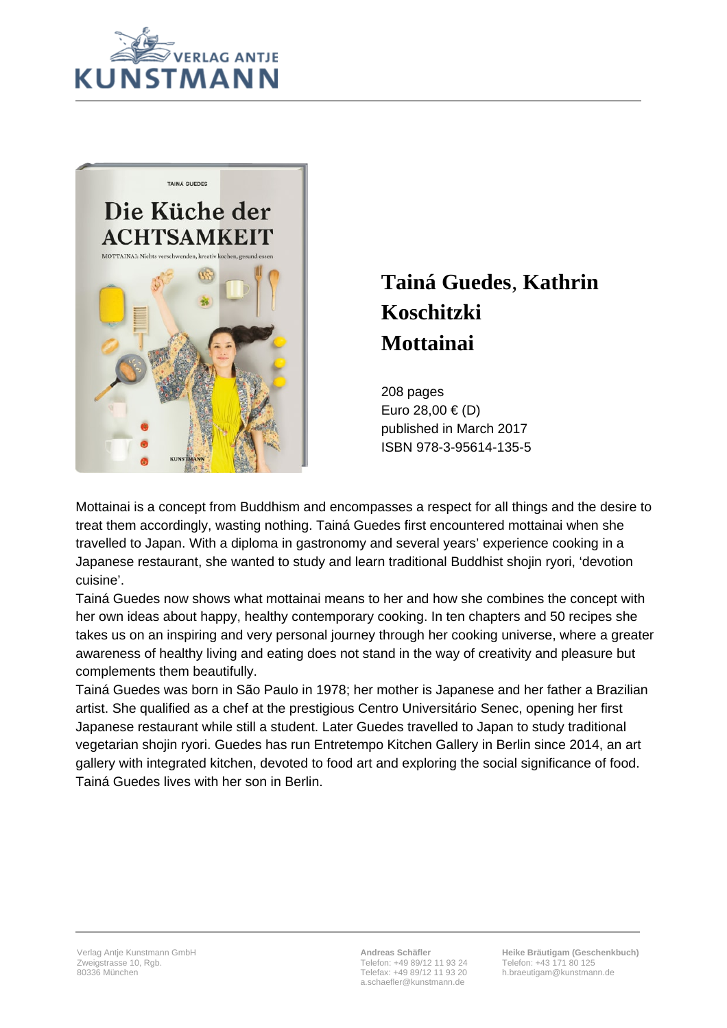



## **Tainá Guedes**, **Kathrin Koschitzki Mottainai**

208 pages Euro 28,00 € (D) published in March 2017 ISBN 978-3-95614-135-5

Mottainai is a concept from Buddhism and encompasses a respect for all things and the desire to treat them accordingly, wasting nothing. Tainá Guedes first encountered mottainai when she travelled to Japan. With a diploma in gastronomy and several years' experience cooking in a Japanese restaurant, she wanted to study and learn traditional Buddhist shojin ryori, 'devotion cuisine'.

Tainá Guedes now shows what mottainai means to her and how she combines the concept with her own ideas about happy, healthy contemporary cooking. In ten chapters and 50 recipes she takes us on an inspiring and very personal journey through her cooking universe, where a greater awareness of healthy living and eating does not stand in the way of creativity and pleasure but complements them beautifully.

Tainá Guedes was born in São Paulo in 1978; her mother is Japanese and her father a Brazilian artist. She qualified as a chef at the prestigious Centro Universitário Senec, opening her first Japanese restaurant while still a student. Later Guedes travelled to Japan to study traditional vegetarian shojin ryori. Guedes has run Entretempo Kitchen Gallery in Berlin since 2014, an art gallery with integrated kitchen, devoted to food art and exploring the social significance of food. Tainá Guedes lives with her son in Berlin.